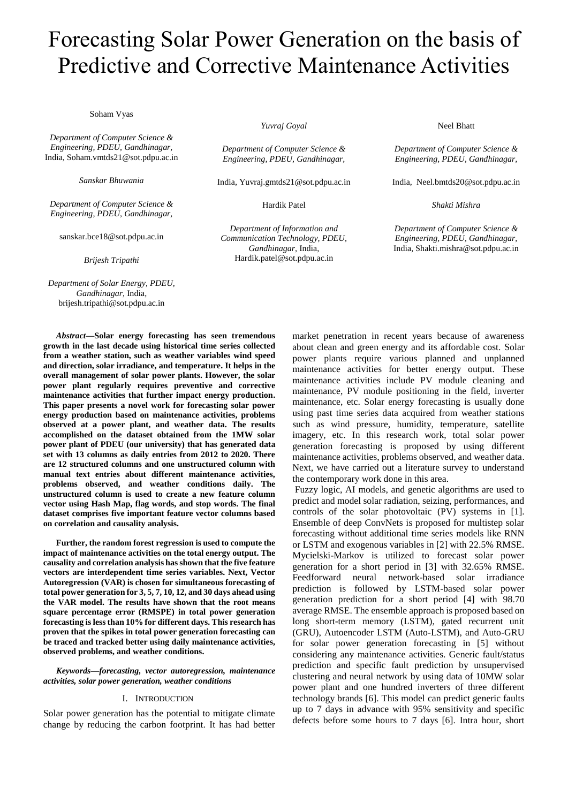# Forecasting Solar Power Generation on the basis of Predictive and Corrective Maintenance Activities

Soham Vyas

*Department of Computer Science & Engineering, PDEU, Gandhinagar,*  India, Soham.vmtds21@sot.pdpu.ac.in

*Sanskar Bhuwania*

*Department of Computer Science & Engineering, PDEU, Gandhinagar,* 

sanskar.bce18@sot.pdpu.ac.in

*Brijesh Tripathi*

*Department of Solar Energy, PDEU, Gandhinagar,* India, brijesh.tripathi@sot.pdpu.ac.in

*Yuvraj Goyal*

*Department of Computer Science & Engineering, PDEU, Gandhinagar,* 

India, Yuvraj.gmtds21@sot.pdpu.ac.in

Hardik Patel

*Department of Information and Communication Technology, PDEU, Gandhinagar,* India, Hardik.patel@sot.pdpu.ac.in

Neel Bhatt

*Department of Computer Science & Engineering, PDEU, Gandhinagar,* 

India, Neel.bmtds20@sot.pdpu.ac.in

*Shakti Mishra*

*Department of Computer Science & Engineering, PDEU, Gandhinagar,* India, Shakti.mishra@sot.pdpu.ac.in

*Abstract***—Solar energy forecasting has seen tremendous growth in the last decade using historical time series collected from a weather station, such as weather variables wind speed and direction, solar irradiance, and temperature. It helps in the overall management of solar power plants. However, the solar power plant regularly requires preventive and corrective maintenance activities that further impact energy production. This paper presents a novel work for forecasting solar power energy production based on maintenance activities, problems observed at a power plant, and weather data. The results accomplished on the dataset obtained from the 1MW solar power plant of PDEU (our university) that has generated data set with 13 columns as daily entries from 2012 to 2020. There are 12 structured columns and one unstructured column with manual text entries about different maintenance activities, problems observed, and weather conditions daily. The unstructured column is used to create a new feature column vector using Hash Map, flag words, and stop words. The final dataset comprises five important feature vector columns based on correlation and causality analysis.**

**Further, the random forest regression is used to compute the impact of maintenance activities on the total energy output. The causality and correlation analysis has shown that the five feature vectors are interdependent time series variables. Next, Vector Autoregression (VAR) is chosen for simultaneous forecasting of total power generation for 3, 5, 7, 10, 12, and 30 days ahead using the VAR model. The results have shown that the root means square percentage error (RMSPE) in total power generation forecasting is less than 10% for different days. This research has proven that the spikes in total power generation forecasting can be traced and tracked better using daily maintenance activities, observed problems, and weather conditions.** 

#### *Keywords—forecasting, vector autoregression, maintenance activities, solar power generation, weather conditions*

#### I. INTRODUCTION

Solar power generation has the potential to mitigate climate change by reducing the carbon footprint. It has had better

market penetration in recent years because of awareness about clean and green energy and its affordable cost. Solar power plants require various planned and unplanned maintenance activities for better energy output. These maintenance activities include PV module cleaning and maintenance, PV module positioning in the field, inverter maintenance, etc. Solar energy forecasting is usually done using past time series data acquired from weather stations such as wind pressure, humidity, temperature, satellite imagery, etc. In this research work, total solar power generation forecasting is proposed by using different maintenance activities, problems observed, and weather data. Next, we have carried out a literature survey to understand the contemporary work done in this area.

Fuzzy logic, AI models, and genetic algorithms are used to predict and model solar radiation, seizing, performances, and controls of the solar photovoltaic (PV) systems in [1]. Ensemble of deep ConvNets is proposed for multistep solar forecasting without additional time series models like RNN or LSTM and exogenous variables in [2] with 22.5% RMSE. Mycielski-Markov is utilized to forecast solar power generation for a short period in [3] with 32.65% RMSE. Feedforward neural network-based solar irradiance prediction is followed by LSTM-based solar power generation prediction for a short period [4] with 98.70 average RMSE. The ensemble approach is proposed based on long short-term memory (LSTM), gated recurrent unit (GRU), Autoencoder LSTM (Auto-LSTM), and Auto-GRU for solar power generation forecasting in [5] without considering any maintenance activities. Generic fault/status prediction and specific fault prediction by unsupervised clustering and neural network by using data of 10MW solar power plant and one hundred inverters of three different technology brands [6]. This model can predict generic faults up to 7 days in advance with 95% sensitivity and specific defects before some hours to 7 days [6]. Intra hour, short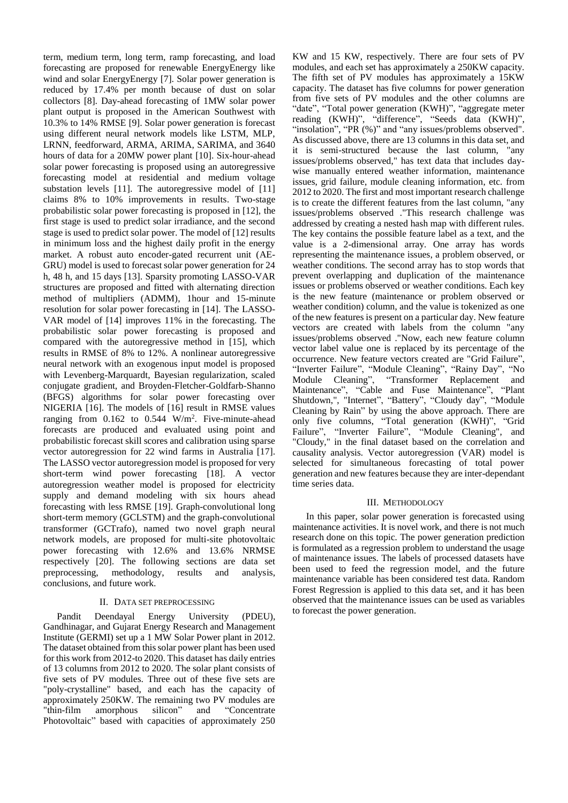term, medium term, long term, ramp forecasting, and load forecasting are proposed for renewable EnergyEnergy like wind and solar EnergyEnergy [7]. Solar power generation is reduced by 17.4% per month because of dust on solar collectors [8]. Day-ahead forecasting of 1MW solar power plant output is proposed in the American Southwest with 10.3% to 14% RMSE [9]. Solar power generation is forecast using different neural network models like LSTM, MLP, LRNN, feedforward, ARMA, ARIMA, SARIMA, and 3640 hours of data for a 20MW power plant [10]. Six-hour-ahead solar power forecasting is proposed using an autoregressive forecasting model at residential and medium voltage substation levels [11]. The autoregressive model of [11] claims 8% to 10% improvements in results. Two-stage probabilistic solar power forecasting is proposed in [12], the first stage is used to predict solar irradiance, and the second stage is used to predict solar power. The model of [12] results in minimum loss and the highest daily profit in the energy market. A robust auto encoder-gated recurrent unit (AE-GRU) model is used to forecast solar power generation for 24 h, 48 h, and 15 days [13]. Sparsity promoting LASSO-VAR structures are proposed and fitted with alternating direction method of multipliers (ADMM), 1hour and 15-minute resolution for solar power forecasting in [14]. The LASSO-VAR model of [14] improves 11% in the forecasting. The probabilistic solar power forecasting is proposed and compared with the autoregressive method in [15], which results in RMSE of 8% to 12%. A nonlinear autoregressive neural network with an exogenous input model is proposed with Levenberg-Marquardt, Bayesian regularization, scaled conjugate gradient, and Broyden-Fletcher-Goldfarb-Shanno (BFGS) algorithms for solar power forecasting over NIGERIA [16]. The models of [16] result in RMSE values ranging from  $0.162$  to  $0.544$  W/m<sup>2</sup>. Five-minute-ahead forecasts are produced and evaluated using point and probabilistic forecast skill scores and calibration using sparse vector autoregression for 22 wind farms in Australia [17]. The LASSO vector autoregression model is proposed for very short-term wind power forecasting [18]. A vector autoregression weather model is proposed for electricity supply and demand modeling with six hours ahead forecasting with less RMSE [19]. Graph-convolutional long short-term memory (GCLSTM) and the graph-convolutional transformer (GCTrafo), named two novel graph neural network models, are proposed for multi-site photovoltaic power forecasting with 12.6% and 13.6% NRMSE respectively [20]. The following sections are data set preprocessing, methodology, results and analysis, conclusions, and future work.

## II. DATA SET PREPROCESSING

Pandit Deendayal Energy University (PDEU), Gandhinagar, and Gujarat Energy Research and Management Institute (GERMI) set up a 1 MW Solar Power plant in 2012. The dataset obtained from this solar power plant has been used for this work from 2012-to 2020. This dataset has daily entries of 13 columns from 2012 to 2020. The solar plant consists of five sets of PV modules. Three out of these five sets are "poly-crystalline" based, and each has the capacity of approximately 250KW. The remaining two PV modules are "thin-film amorphous silicon" and "Concentrate Photovoltaic" based with capacities of approximately 250

KW and 15 KW, respectively. There are four sets of PV modules, and each set has approximately a 250KW capacity. The fifth set of PV modules has approximately a 15KW capacity. The dataset has five columns for power generation from five sets of PV modules and the other columns are "date", "Total power generation (KWH)", "aggregate meter reading (KWH)", "difference", "Seeds data (KWH)", "insolation", "PR  $(\%)$ " and "any issues/problems observed". As discussed above, there are 13 columns in this data set, and it is semi-structured because the last column, "any issues/problems observed," has text data that includes daywise manually entered weather information, maintenance issues, grid failure, module cleaning information, etc. from 2012 to 2020. The first and most important research challenge is to create the different features from the last column, "any issues/problems observed ."This research challenge was addressed by creating a nested hash map with different rules. The key contains the possible feature label as a text, and the value is a 2-dimensional array. One array has words representing the maintenance issues, a problem observed, or weather conditions. The second array has to stop words that prevent overlapping and duplication of the maintenance issues or problems observed or weather conditions. Each key is the new feature (maintenance or problem observed or weather condition) column, and the value is tokenized as one of the new features is present on a particular day. New feature vectors are created with labels from the column "any issues/problems observed ."Now, each new feature column vector label value one is replaced by its percentage of the occurrence. New feature vectors created are "Grid Failure", "Inverter Failure", "Module Cleaning", "Rainy Day", "No Module Cleaning", "Transformer Replacement and Maintenance", "Cable and Fuse Maintenance", "Plant Shutdown,", "Internet", "Battery", "Cloudy day", "Module Cleaning by Rain" by using the above approach. There are only five columns, "Total generation (KWH)", "Grid Failure", "Inverter Failure", "Module Cleaning", and "Cloudy," in the final dataset based on the correlation and causality analysis. Vector autoregression (VAR) model is selected for simultaneous forecasting of total power generation and new features because they are inter-dependant time series data.

## III. METHODOLOGY

In this paper, solar power generation is forecasted using maintenance activities. It is novel work, and there is not much research done on this topic. The power generation prediction is formulated as a regression problem to understand the usage of maintenance issues. The labels of processed datasets have been used to feed the regression model, and the future maintenance variable has been considered test data. Random Forest Regression is applied to this data set, and it has been observed that the maintenance issues can be used as variables to forecast the power generation.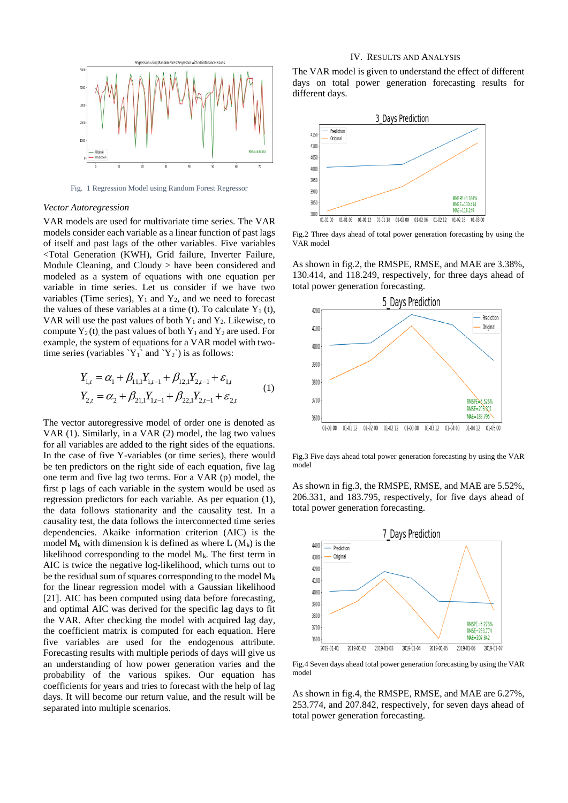

Fig. 1 Regression Model using Random Forest Regressor

#### *Vector Autoregression*

VAR models are used for multivariate time series. The VAR models consider each variable as a linear function of past lags of itself and past lags of the other variables. Five variables <Total Generation (KWH), Grid failure, Inverter Failure, Module Cleaning, and Cloudy > have been considered and modeled as a system of equations with one equation per variable in time series. Let us consider if we have two variables (Time series),  $Y_1$  and  $Y_2$ , and we need to forecast the values of these variables at a time (t). To calculate  $Y_1(t)$ , VAR will use the past values of both  $Y_1$  and  $Y_2$ . Likewise, to compute  $Y_2(t)$ , the past values of both  $Y_1$  and  $Y_2$  are used. For example, the system of equations for a VAR model with twotime series (variables  $Y_1$  and  $Y_2$ ) is as follows:

$$
Y_{1,t} = \alpha_1 + \beta_{11,1} Y_{1,t-1} + \beta_{12,1} Y_{2,t-1} + \varepsilon_{1,t}
$$
  
\n
$$
Y_{2,t} = \alpha_2 + \beta_{21,1} Y_{1,t-1} + \beta_{22,1} Y_{2,t-1} + \varepsilon_{2,t}
$$
 (1)

The vector autoregressive model of order one is denoted as VAR (1). Similarly, in a VAR (2) model, the lag two values for all variables are added to the right sides of the equations. In the case of five Y-variables (or time series), there would be ten predictors on the right side of each equation, five lag one term and five lag two terms. For a VAR (p) model, the first p lags of each variable in the system would be used as regression predictors for each variable. As per equation (1), the data follows stationarity and the causality test. In a causality test, the data follows the interconnected time series dependencies. Akaike information criterion (AIC) is the model  $M_k$  with dimension k is defined as where L  $(M_k)$  is the likelihood corresponding to the model  $M_k$ . The first term in AIC is twice the negative log-likelihood, which turns out to be the residual sum of squares corresponding to the model  $M_k$ for the linear regression model with a Gaussian likelihood [21]. AIC has been computed using data before forecasting, and optimal AIC was derived for the specific lag days to fit the VAR. After checking the model with acquired lag day, the coefficient matrix is computed for each equation. Here five variables are used for the endogenous attribute. Forecasting results with multiple periods of days will give us an understanding of how power generation varies and the probability of the various spikes. Our equation has coefficients for years and tries to forecast with the help of lag days. It will become our return value, and the result will be separated into multiple scenarios.

## IV. RESULTS AND ANALYSIS

The VAR model is given to understand the effect of different days on total power generation forecasting results for different days.



Fig.2 Three days ahead of total power generation forecasting by using the VAR model

As shown in fig.2, the RMSPE, RMSE, and MAE are 3.38%, 130.414, and 118.249, respectively, for three days ahead of total power generation forecasting.



Fig.3 Five days ahead total power generation forecasting by using the VAR model

As shown in fig.3, the RMSPE, RMSE, and MAE are 5.52%, 206.331, and 183.795, respectively, for five days ahead of total power generation forecasting.



Fig.4 Seven days ahead total power generation forecasting by using the VAR model

As shown in fig.4, the RMSPE, RMSE, and MAE are 6.27%, 253.774, and 207.842, respectively, for seven days ahead of total power generation forecasting.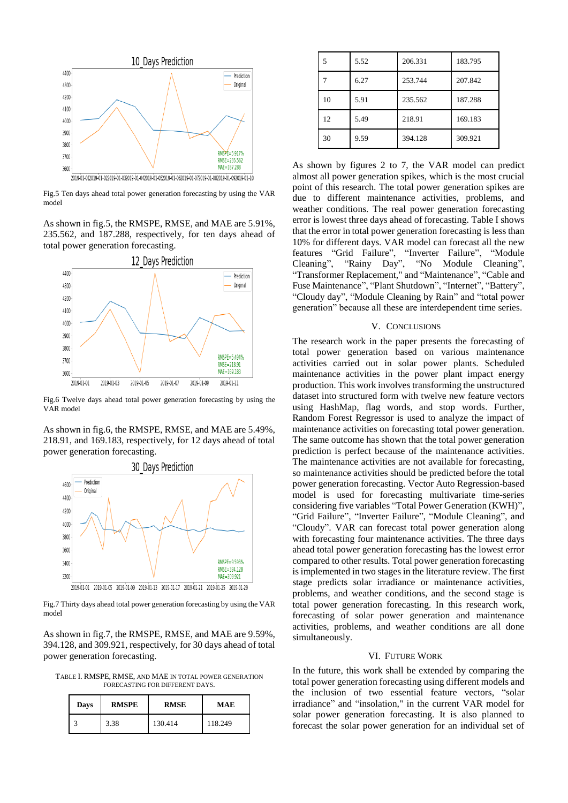

Fig.5 Ten days ahead total power generation forecasting by using the VAR model

As shown in fig.5, the RMSPE, RMSE, and MAE are 5.91%, 235.562, and 187.288, respectively, for ten days ahead of total power generation forecasting.



Fig.6 Twelve days ahead total power generation forecasting by using the VAR model

As shown in fig.6, the RMSPE, RMSE, and MAE are 5.49%, 218.91, and 169.183, respectively, for 12 days ahead of total power generation forecasting.



Fig.7 Thirty days ahead total power generation forecasting by using the VAR model

As shown in fig.7, the RMSPE, RMSE, and MAE are 9.59%, 394.128, and 309.921, respectively, for 30 days ahead of total power generation forecasting.

TABLE I. RMSPE, RMSE, AND MAE IN TOTAL POWER GENERATION FORECASTING FOR DIFFERENT DAYS.

| Days | <b>RMSPE</b> | <b>RMSE</b> | <b>MAE</b> |
|------|--------------|-------------|------------|
|      | 3.38         | 130.414     | 118.249    |

| 5  | 5.52 | 206.331 | 183.795 |
|----|------|---------|---------|
|    | 6.27 | 253.744 | 207.842 |
| 10 | 5.91 | 235.562 | 187.288 |
| 12 | 5.49 | 218.91  | 169.183 |
| 30 | 9.59 | 394.128 | 309.921 |

As shown by figures 2 to 7, the VAR model can predict almost all power generation spikes, which is the most crucial point of this research. The total power generation spikes are due to different maintenance activities, problems, and weather conditions. The real power generation forecasting error is lowest three days ahead of forecasting. Table I shows that the error in total power generation forecasting is less than 10% for different days. VAR model can forecast all the new features "Grid Failure", "Inverter Failure", "Module Cleaning", "Rainy Day", "No Module Cleaning", "Transformer Replacement," and "Maintenance", "Cable and Fuse Maintenance", "Plant Shutdown", "Internet", "Battery", "Cloudy day", "Module Cleaning by Rain" and "total power generation" because all these are interdependent time series.

#### V. CONCLUSIONS

The research work in the paper presents the forecasting of total power generation based on various maintenance activities carried out in solar power plants. Scheduled maintenance activities in the power plant impact energy production. This work involves transforming the unstructured dataset into structured form with twelve new feature vectors using HashMap, flag words, and stop words. Further, Random Forest Regressor is used to analyze the impact of maintenance activities on forecasting total power generation. The same outcome has shown that the total power generation prediction is perfect because of the maintenance activities. The maintenance activities are not available for forecasting, so maintenance activities should be predicted before the total power generation forecasting. Vector Auto Regression-based model is used for forecasting multivariate time-series considering five variables "Total Power Generation (KWH)", "Grid Failure", "Inverter Failure", "Module Cleaning", and "Cloudy". VAR can forecast total power generation along with forecasting four maintenance activities. The three days ahead total power generation forecasting has the lowest error compared to other results. Total power generation forecasting is implemented in two stages in the literature review. The first stage predicts solar irradiance or maintenance activities, problems, and weather conditions, and the second stage is total power generation forecasting. In this research work, forecasting of solar power generation and maintenance activities, problems, and weather conditions are all done simultaneously.

### VI. FUTURE WORK

In the future, this work shall be extended by comparing the total power generation forecasting using different models and the inclusion of two essential feature vectors, "solar irradiance" and "insolation," in the current VAR model for solar power generation forecasting. It is also planned to forecast the solar power generation for an individual set of